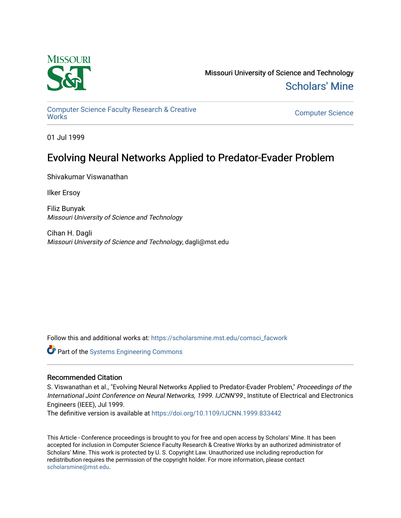

Missouri University of Science and Technology [Scholars' Mine](https://scholarsmine.mst.edu/) 

[Computer Science Faculty Research & Creative](https://scholarsmine.mst.edu/comsci_facwork) 

**Computer Science** 

01 Jul 1999

# Evolving Neural Networks Applied to Predator-Evader Problem

Shivakumar Viswanathan

Ilker Ersoy

Filiz Bunyak Missouri University of Science and Technology

Cihan H. Dagli Missouri University of Science and Technology, dagli@mst.edu

Follow this and additional works at: [https://scholarsmine.mst.edu/comsci\\_facwork](https://scholarsmine.mst.edu/comsci_facwork?utm_source=scholarsmine.mst.edu%2Fcomsci_facwork%2F248&utm_medium=PDF&utm_campaign=PDFCoverPages) 

**Part of the Systems Engineering Commons** 

# Recommended Citation

S. Viswanathan et al., "Evolving Neural Networks Applied to Predator-Evader Problem," Proceedings of the International Joint Conference on Neural Networks, 1999. IJCNN'99., Institute of Electrical and Electronics Engineers (IEEE), Jul 1999.

The definitive version is available at <https://doi.org/10.1109/IJCNN.1999.833442>

This Article - Conference proceedings is brought to you for free and open access by Scholars' Mine. It has been accepted for inclusion in Computer Science Faculty Research & Creative Works by an authorized administrator of Scholars' Mine. This work is protected by U. S. Copyright Law. Unauthorized use including reproduction for redistribution requires the permission of the copyright holder. For more information, please contact [scholarsmine@mst.edu.](mailto:scholarsmine@mst.edu)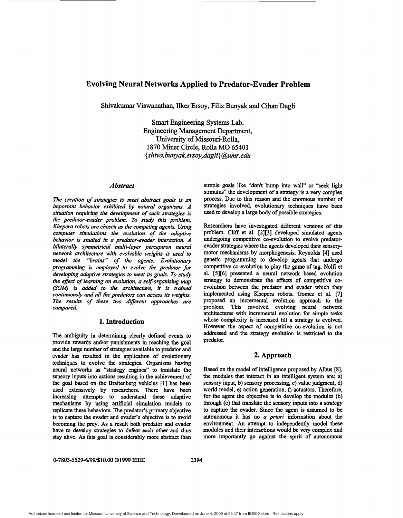# **Evolving Neural Networks Applied to Predator-Evader Problem**

Shivakumar Viswanathan, Ilker Ersoy, Filiz Bunyak **and** Cihan Dagli

**Smart** Engineering Systems Lab. Engineering Management Department, University of Missouri-Rolla, 1870 Miner Circle, Rolla MO **6540** 1 *{shiva, [bunyak,ersoy,dagIi\)@umr.edu](mailto:bunyak,ersoy,dagIi)@umr.edu)* 

## *Abstract*

*The creation of strategies to meet abstract goals* is *an important behavior exhibited by natural organisms. A situation requiring the development of such strategies is the predator-evader problem. To study this problem, Khepera robots are chosen* **as** *the competing agents. Using computer simulations the evolution of the adaptive behavior* is *studied in a predator-evader interaction. A bilaterally symmetrical multi-layer perceptron neural network architecture with evolvable weights is* **used** *to model the "brains" of the agents. Evolutionary programming is employed to evolve the predator for developing adaptive strategies to meet its goals. To study the efect of learning on evolution, a self-organizing map (SOW* is *added to the architecture, it* is *trained continuously and all the predators can access its weights. The results of these two different approaches are compared.* 

# **1. Introduction**

The ambiguity in determining clearly defined events to provide rewards and/or punishments in reaching the goal and the large number of strategies available to predator and evader has resulted in the application of evolutionary techniques to evolve the strategies. Organisms having neural networks **as** "strategy engines" to translate the sensory inputs into actions resulting in the achievement of the goal based **on** the Braitenberg vehicles **[l]** has been used extensively by researchers. There have been increasing attempts to understand these adaptive mechanisms by using artificial simulation models to replicate these behaviors. The predator's primary objective is to capture the evader and evader's objective is to avoid becoming the prey. As a result both predator and evader have to develop strategies to defeat each other and thus stay alive. *As* **this** goal is considerably more abstract than

simple goals like "don't bump into wall" or "seek light stimulus" the development of a strategy is a very complex process. Due to this reason and the enormous number of strategies involved, evolutionary techniques have been used to develop a large body of possible strategies.

Researchers have investigated different versions of this problem. Cliff et al. **[2][3]** developed simulated agents undergoing competitive co-evolution to evolve predatorevader strategies where the agents developed their sensorymotor mechanisms by morphogenesis. Reynolds **[4] used**  genetic programming to develop agents that undergo competitive co-evolution to play the game of tag. Nolfi et al. **[5][6]** presented a neural network based evolution strategy to demonstrate the effects of competitive coevolution between the predator and evader which they implemented using Khepera robots. Gomez et al. **[7]**  proposed an incremental evolution approach to the problem. This involved evolving neural network architectures with incremental evolution for simple **tasks**  whose complexity is increased till a strategy is evolved. However the aspect of competitive co-evolution is not addressed and the strategy evolution is restricted to the predator.

# **2. Approach**

Based **on** the model of intelligence proposed by Albus **[8],**  the modules that interact in **an** intelligent system are: a) sensory input, b) sensory processing, c) value judgment, d) world model, e) action generation, *f)* actuators. Therefore, for the agent the objective is to develop the modules (b) through (e) that translate the sensory inputs into a strategy to capture the evader. Since the agent is assumed to be autonomous it has **no** *a priori* information about the environment. An attempt to independently model these modules and their interactions would be very complex and more importantly **go** against the spirit of autonomous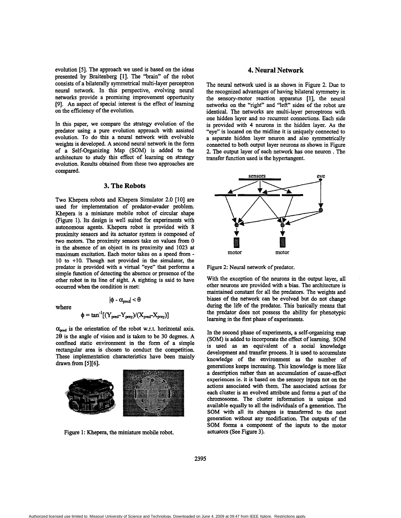evolution **[5].** The approach we used is based **on** the ideas presented by Braitenberg **[l].** The **"brain"** of the robot consists of a bilaterally symmetrical multi-layer perceptron neural network. **In** this perspective, evolving neural networks provide a promising improvement opportunity **[9].** An aspect of special interest is the effect of learning **on** the efficiency of the evolution.

In this paper, we compare the strategy evolution of the predator using a pure evolution approach with assisted evolution. To do this a neural network with evolvable weights is developed. A second neural network in the form of a Self-Organizing Map *(SOM)* is added to the architecture to study this effect of learning **on** strategy evolution. Results obtained from these two approaches are compared.

#### **3. The Robots**

Two Khepera robots and Khepera Simulator **2.0 [lo]** are used for implementation of predator-evader problem. Khepera is a miniature mobile robot of circular shape (Figure 1). Its design is well suited for experiments with autonomous agents. Khepera robot is provided with **8**  proximity sensors and its actuator system is composed of two motors. The proximity sensors take **on** values from 0 in the absence of an object in its proximity and **1023** at 10 to +10. Though not provided in the simulator, the predator is provided with a virtual "eye" that **performs** a simple function of detecting the absence or presence of the other robot in its line of sight. A sighting is said to have occurred when the condition is met:

where

$$
|\phi - \alpha_{\text{pred}}| < \theta
$$

$$
\phi = \tan^{-1}[(Y_{pred} - Y_{prey})/(X_{pred} - X_{prey})]
$$

 $\alpha_{\text{pred}}$  is the orientation of the robot w.r.t. horizontal axis. **28** is the angle of vision and is taken to be **30** degrees. A confined static environment in the form of a simple rectangular area is chosen to conduct the competition. These implementation characteristics have been mainly drawn from **[5][6].** 



Figure 1: Khepera, the miniature mobile robot.

#### **4. Neural Network**

The neural network used is **as** shown in Figure **2.** Due to the recognized advantages of having bilateral symmetry in the sensory-motor reaction apparatus [l], the neural networks **on** the "right" and "left" sides of the robot are identical. The networks are multi-layer perceptrons with one hidden layer and **no** recurrent connections. Each side is provided with **4** neurons in the hidden layer. *As* the "eye" is located **on** the midline it is uniquely connected to a separate hidden layer neuron and also symmetrically connected to both output layer neurons **as** shown in Figure **2.** The output layer of each network has one neuron . The transfer function used is the hypertangent.



Figure 2: Neural network of predator.

With the exception of the neurons in the output layer, all other neurons are provided with a bias. The architecture is **maintained** constant for all the predators. The weights and biases of the network can be evolved but do not change during the life of the predator. This basically means that the predator does not possess the ability for phenotypic learning in the **first** phase of experiments.

In the second phase of experiments, a self-organizing map **(SOM)** is added to incorporate the effect of learning. SOM is used as an equivalent of a social knowledge development and transfer process. It is used to accumulate knowledge of the environment **as** the number of generations keeps increasing. This knowledge is more like a description rather than an accumulation of cause-effect experiences ie. it is **based on** the *sensory* inputs not on the actions associated with them. The associated **actions** for each cluster is an evolved attribute and forms a part of the chromosome. The cluster information is unique and available equally to all the individuals of a generation. The **SOM** with all its changes is **transferred** to the next generation without **any** modification. The outputs of the SOM forms a component of the inputs to the motor actuators (See Figure 3).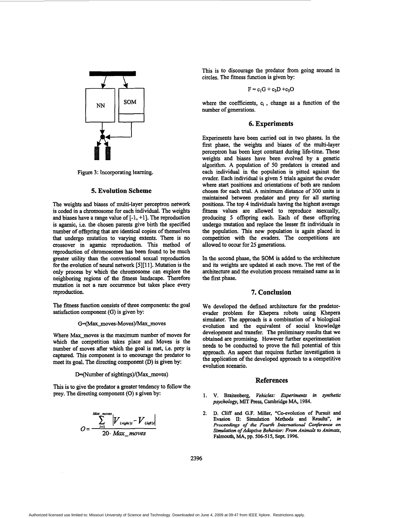

Figure 3: Incorporating learning.

## **5. Evolution Scheme**

The weights and biases of multi-layer perceptron network is coded in a chromosome for each individual. The weights and biases have a range value of  $[-1, +1]$ . The reproduction is agamic, i.e. the chosen parents give birth the specified number of offspring that are identical copies of themselves that undergo mutation to varying extents. There is **no**  crossover in agamic reproduction. This method of reproduction of chromosomes **has** been found to be much greater utility than the conventional sexual reproduction for the evolution of neural network [5][11]. Mutation is the only process by which the chromosome can explore the neighboring regions of the fitness landscape. Therefore mutation is not a rare occurrence but takes place every reproduction.

The fitness function consists of three components: the goal satisfaction component (G) is given by:

#### G=(Max\_moves-Moves)/Max\_moves

Where Max\_moves is the maximum number of moves for which the competition takes place and **Moves** is the number of moves after which the goal is met, i.e. prey is captured. This component is to encourage the predator to meet its goal. The directing component (D) is given by:

#### D=(Number of sightings)/(Max\_moves)

**This** is to give the predator a greater tendency to follow the prey. The directing component (0) **s** given by:

$$
O=\frac{\sum_{i=1}^{Max\_moves} |V_{(right)i} - V_{(left)i}|}{20 \cdot Max\_moves}
$$

This is to discourage the predator from going around in circles. The fitness function is given by:

$$
F\equiv c_1G+c_2D+c_3O
$$

where the coefficients, **q** , change **as** a function of the number of generations.

#### **6. Experiments**

Experiments have been carried out in two phases. In the first phase, the weights and biases of the multi-layer perceptron has been kept constant during life-time. These weights and biases have been evolved by a genetic algorithm. A population of 50 predators is created and each individual in the population is pitted against the evader. Each individual is given *5* trials against the evader where *start* positions and orientations of both are random chosen for each trial. A minimum distance of 300 **units** is maintained between predator and prey for all starting positions. The top **4** individuals having the highest average fitness values are allowed to reproduce asexually, producing *5* offspring each. Each of these offspring undergo mutation and replace the lesser fit individuals in the population. This new population is again placed in competition with the evaders. The competitions are allowed to occur for **25** generations.

In the second phase, the **SOM** is added to the architecture and its weights are updated at each move. The rest of the architecture and the evolution process remained same **as** in the first phase.

#### **7. Conclusion**

We developed the defined architecture for the predetorevader problem for Khepera robots using Khepera simulator. The approach is a combination of a biological evolution and the equivalent of social knowledge development and transfer. The preliminary results that we obtained are promising. However further experimentation needs to be conducted to prove the full potential of **this**  approach. **An** *aspect* that requires further investigation is the application of the developed approach to a competitive evolution scenario.

#### **References**

- 1. V. Braitenberg, Vehicles: Experiments in synthetic *psychology,* MIT **Press, Cambridge MA, 1984.**
- **D.** Cliff **and G.F. Miller, "Coevolution of Pursuit and**  Evasion **II: Simulation Methods and Results",** *in proceedings of the Fourth International Conference on Simulation of Adaptive Behavior: From Animals to Animats,*  **Falmouth, MA, pp. 5065 15, Sept. 1996.**  *2.*